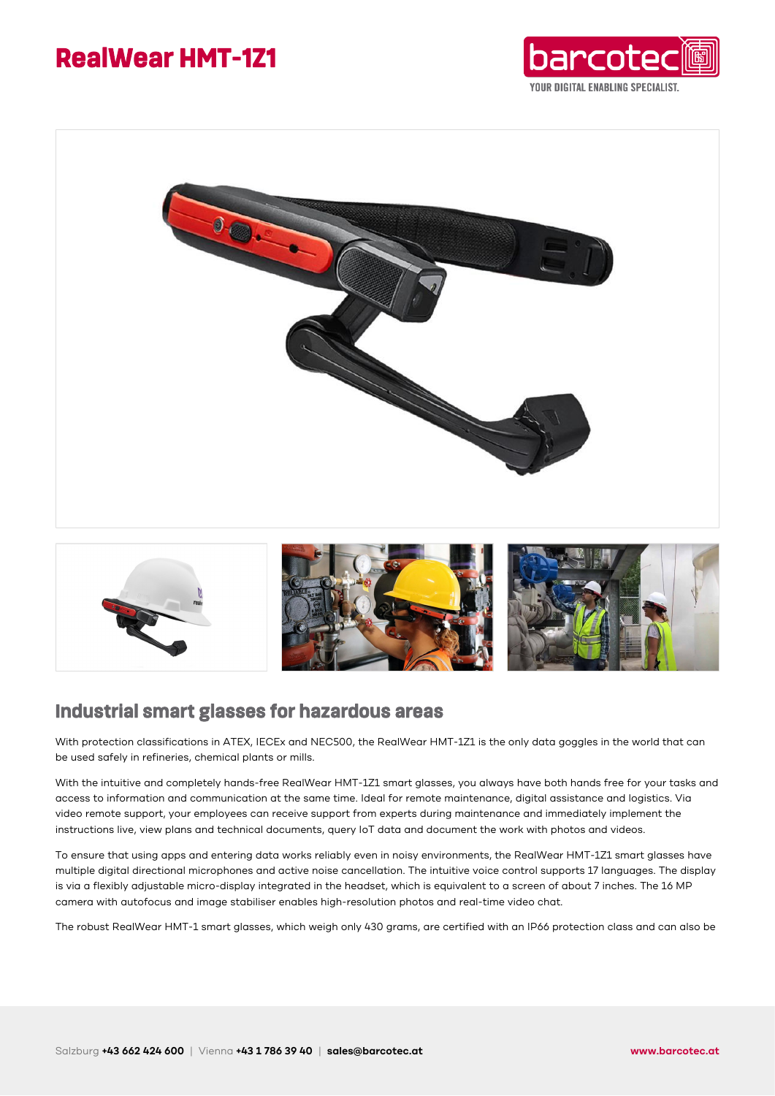## **RealWear HMT-1Z1**





## **Industrial smart glasses for hazardous areas**

With protection classifications in ATEX, IECEx and NEC500, the RealWear HMT-1Z1 is the only data goggles in the world that can be used safely in refineries, chemical plants or mills.

With the intuitive and completely hands-free RealWear HMT-1Z1 smart glasses, you always have both hands free for your tasks and access to information and communication at the same time. Ideal for remote maintenance, digital assistance and logistics. Via video remote support, your employees can receive support from experts during maintenance and immediately implement the instructions live, view plans and technical documents, query IoT data and document the work with photos and videos.

To ensure that using apps and entering data works reliably even in noisy environments, the RealWear HMT-1Z1 smart glasses have multiple digital directional microphones and active noise cancellation. The intuitive voice control supports 17 languages. The display is via a flexibly adjustable micro-display integrated in the headset, which is equivalent to a screen of about 7 inches. The 16 MP camera with autofocus and image stabiliser enables high-resolution photos and real-time video chat.

The robust RealWear HMT-1 smart glasses, which weigh only 430 grams, are certified with an IP66 protection class and can also be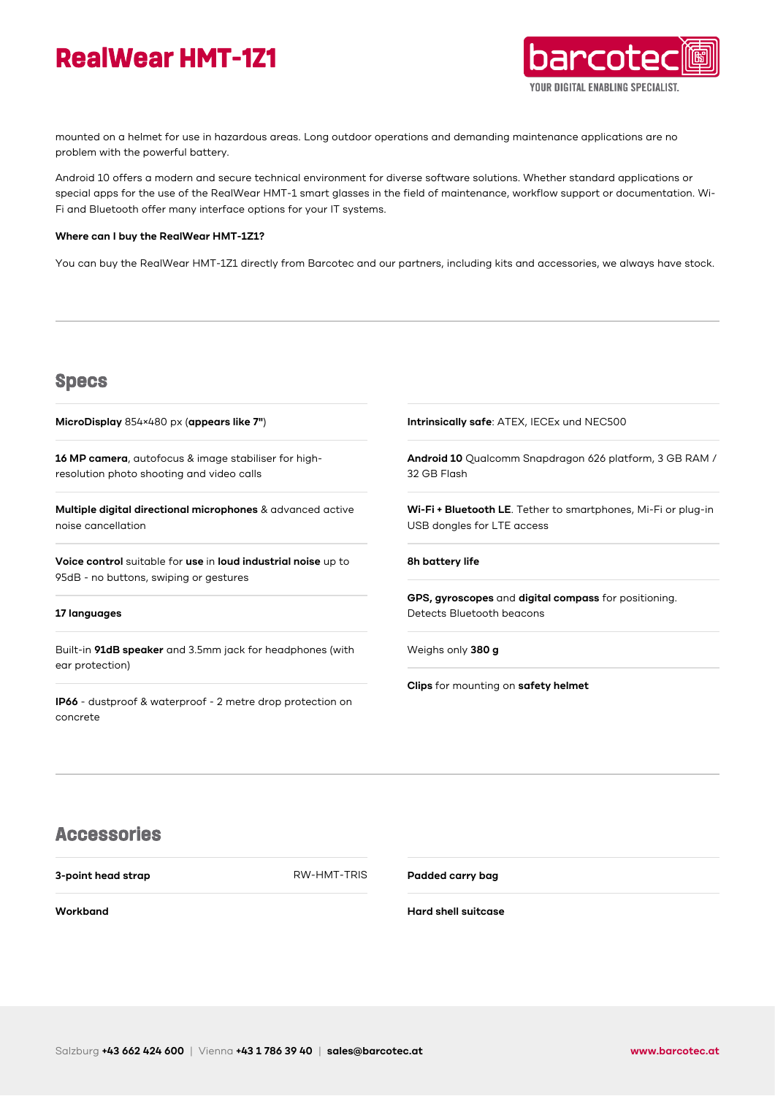# **RealWear HMT-1Z1**



mounted on a helmet for use in hazardous areas. Long outdoor operations and demanding maintenance applications are no problem with the powerful battery.

Android 10 offers a modern and secure technical environment for diverse software solutions. Whether standard applications or special apps for the use of the RealWear HMT-1 smart glasses in the field of maintenance, workflow support or documentation. Wi-Fi and Bluetooth offer many interface options for your IT systems.

#### **Where can I buy the RealWear HMT-1Z1?**

You can buy the RealWear HMT-1Z1 directly from Barcotec and our partners, including kits and accessories, we always have stock.

### **Specs**

**MicroDisplay** 854×480 px (**appears like 7"**)

**16 MP camera**, autofocus & image stabiliser for highresolution photo shooting and video calls

**Multiple digital directional microphones** & advanced active noise cancellation

**Voice control** suitable for **use** in **loud industrial noise** up to 95dB - no buttons, swiping or gestures

#### **17 languages**

Built-in **91dB speaker** and 3.5mm jack for headphones (with ear protection)

**IP66** - dustproof & waterproof - 2 metre drop protection on concrete

**Intrinsically safe**: ATEX, IECEx und NEC500

**Android 10** Qualcomm Snapdragon 626 platform, 3 GB RAM / 32 GB Flash

**Wi-Fi + Bluetooth LE**. Tether to smartphones, Mi-Fi or plug-in USB dongles for LTE access

#### **8h battery life**

**GPS, gyroscopes** and **digital compass** for positioning. Detects Bluetooth beacons

Weighs only **380 g**

**Clips** for mounting on **safety helmet**

## **Accessories**

**3-point head strap** RW-HMT-TRIS

**Padded carry bag**

**Workband**

**Hard shell suitcase**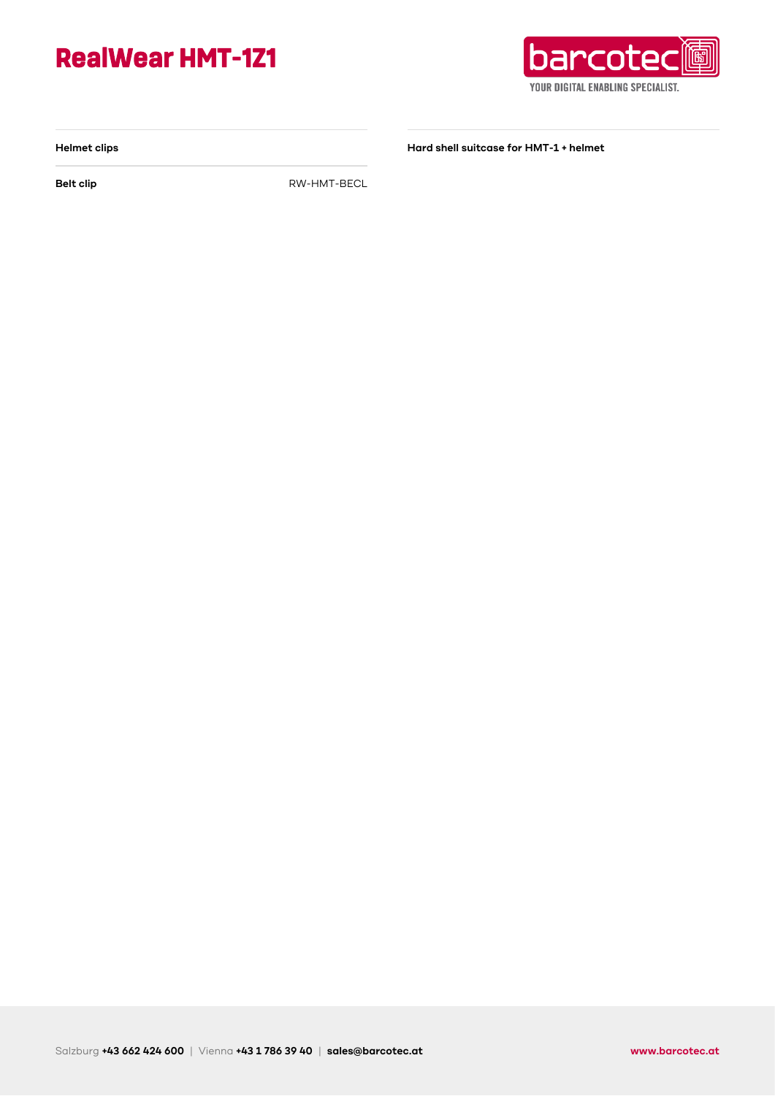



**Helmet clips**

**Hard shell suitcase for HMT-1 + helmet**

**Belt clip** RW-HMT-BECL